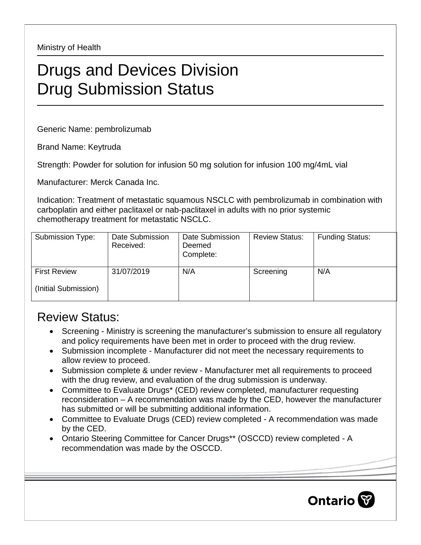Ministry of Health

## Drugs and Devices Division Drug Submission Status

Generic Name: pembrolizumab

Brand Name: Keytruda

Strength: Powder for solution for infusion 50 mg solution for infusion 100 mg/4mL vial

Manufacturer: Merck Canada Inc.

Indication: Treatment of metastatic squamous NSCLC with pembrolizumab in combination with carboplatin and either paclitaxel or nab-paclitaxel in adults with no prior systemic chemotherapy treatment for metastatic NSCLC.

| Submission Type:     | Date Submission<br>Received: | Date Submission<br>Deemed<br>Complete: | <b>Review Status:</b> | <b>Funding Status:</b> |
|----------------------|------------------------------|----------------------------------------|-----------------------|------------------------|
| <b>First Review</b>  | 31/07/2019                   | N/A                                    | Screening             | N/A                    |
| (Initial Submission) |                              |                                        |                       |                        |

## Review Status:

- Screening Ministry is screening the manufacturer's submission to ensure all regulatory and policy requirements have been met in order to proceed with the drug review.
- Submission incomplete Manufacturer did not meet the necessary requirements to allow review to proceed.
- Submission complete & under review Manufacturer met all requirements to proceed with the drug review, and evaluation of the drug submission is underway.
- Committee to Evaluate Drugs\* (CED) review completed, manufacturer requesting reconsideration – A recommendation was made by the CED, however the manufacturer has submitted or will be submitting additional information.
- Committee to Evaluate Drugs (CED) review completed A recommendation was made by the CED.
- Ontario Steering Committee for Cancer Drugs\*\* (OSCCD) review completed A recommendation was made by the OSCCD.